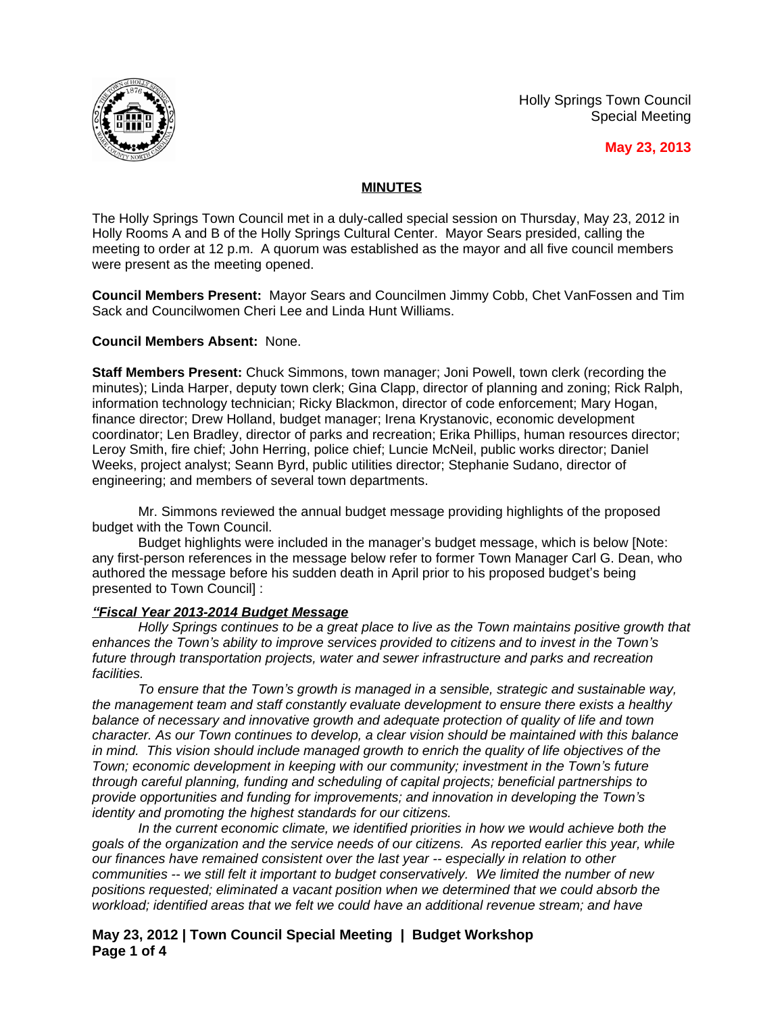Holly Springs Town Council Special Meeting



**May 23, 2013**

# **MINUTES**

The Holly Springs Town Council met in a duly-called special session on Thursday, May 23, 2012 in Holly Rooms A and B of the Holly Springs Cultural Center. Mayor Sears presided, calling the meeting to order at 12 p.m. A quorum was established as the mayor and all five council members were present as the meeting opened.

**Council Members Present:** Mayor Sears and Councilmen Jimmy Cobb, Chet VanFossen and Tim Sack and Councilwomen Cheri Lee and Linda Hunt Williams.

### **Council Members Absent:** None.

**Staff Members Present:** Chuck Simmons, town manager; Joni Powell, town clerk (recording the minutes); Linda Harper, deputy town clerk; Gina Clapp, director of planning and zoning; Rick Ralph, information technology technician; Ricky Blackmon, director of code enforcement; Mary Hogan, finance director; Drew Holland, budget manager; Irena Krystanovic, economic development coordinator; Len Bradley, director of parks and recreation; Erika Phillips, human resources director; Leroy Smith, fire chief; John Herring, police chief; Luncie McNeil, public works director; Daniel Weeks, project analyst; Seann Byrd, public utilities director; Stephanie Sudano, director of engineering; and members of several town departments.

Mr. Simmons reviewed the annual budget message providing highlights of the proposed budget with the Town Council.

Budget highlights were included in the manager's budget message, which is below [Note: any first-person references in the message below refer to former Town Manager Carl G. Dean, who authored the message before his sudden death in April prior to his proposed budget's being presented to Town Council] :

#### *"Fiscal Year 2013-2014 Budget Message*

*Holly Springs continues to be a great place to live as the Town maintains positive growth that enhances the Town's ability to improve services provided to citizens and to invest in the Town's future through transportation projects, water and sewer infrastructure and parks and recreation facilities.*

*To ensure that the Town's growth is managed in a sensible, strategic and sustainable way, the management team and staff constantly evaluate development to ensure there exists a healthy balance of necessary and innovative growth and adequate protection of quality of life and town character. As our Town continues to develop, a clear vision should be maintained with this balance in mind. This vision should include managed growth to enrich the quality of life objectives of the Town; economic development in keeping with our community; investment in the Town's future through careful planning, funding and scheduling of capital projects; beneficial partnerships to provide opportunities and funding for improvements; and innovation in developing the Town's identity and promoting the highest standards for our citizens.*

*In the current economic climate, we identified priorities in how we would achieve both the goals of the organization and the service needs of our citizens. As reported earlier this year, while our finances have remained consistent over the last year -- especially in relation to other communities -- we still felt it important to budget conservatively. We limited the number of new positions requested; eliminated a vacant position when we determined that we could absorb the workload; identified areas that we felt we could have an additional revenue stream; and have* 

**May 23, 2012 | Town Council Special Meeting | Budget Workshop Page 1 of 4**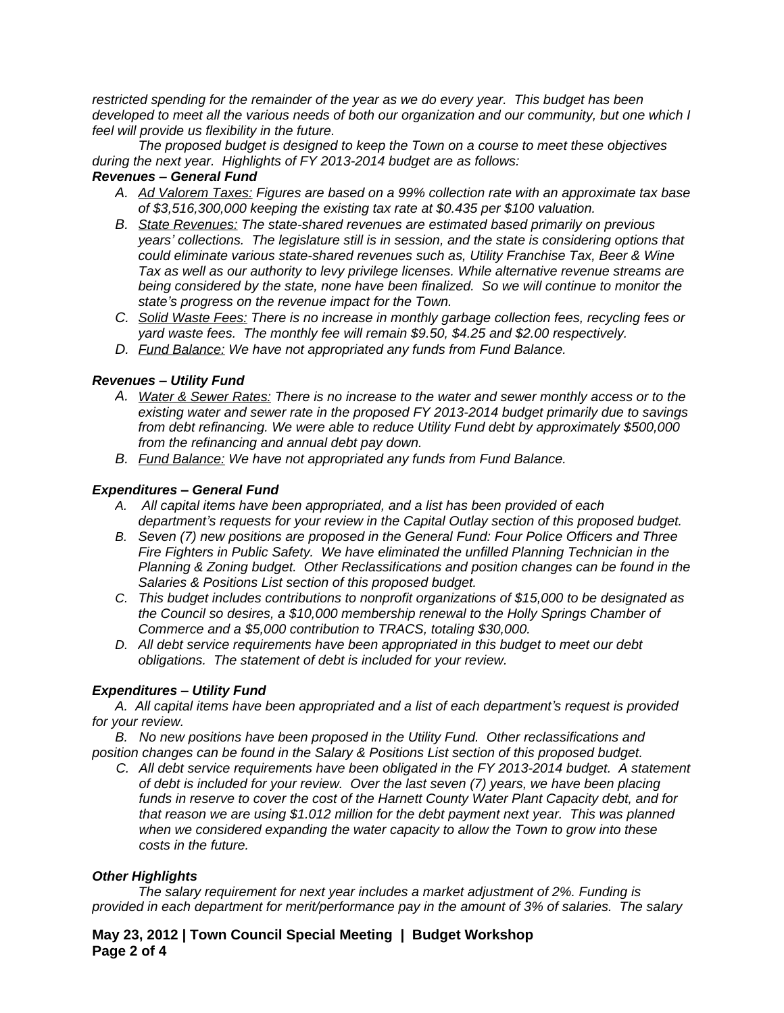*restricted spending for the remainder of the year as we do every year. This budget has been developed to meet all the various needs of both our organization and our community, but one which I feel will provide us flexibility in the future.*

*The proposed budget is designed to keep the Town on a course to meet these objectives during the next year. Highlights of FY 2013-2014 budget are as follows:*

## *Revenues – General Fund*

- *A. Ad Valorem Taxes: Figures are based on a 99% collection rate with an approximate tax base of \$3,516,300,000 keeping the existing tax rate at \$0.435 per \$100 valuation.*
- *B. State Revenues: The state-shared revenues are estimated based primarily on previous years' collections. The legislature still is in session, and the state is considering options that could eliminate various state-shared revenues such as, Utility Franchise Tax, Beer & Wine Tax as well as our authority to levy privilege licenses. While alternative revenue streams are being considered by the state, none have been finalized. So we will continue to monitor the state's progress on the revenue impact for the Town.*
- *C. Solid Waste Fees: There is no increase in monthly garbage collection fees, recycling fees or yard waste fees. The monthly fee will remain \$9.50, \$4.25 and \$2.00 respectively.*
- *D. Fund Balance: We have not appropriated any funds from Fund Balance.*

### *Revenues – Utility Fund*

- *A. Water & Sewer Rates: There is no increase to the water and sewer monthly access or to the existing water and sewer rate in the proposed FY 2013-2014 budget primarily due to savings from debt refinancing. We were able to reduce Utility Fund debt by approximately \$500,000 from the refinancing and annual debt pay down.*
- *B. Fund Balance: We have not appropriated any funds from Fund Balance.*

### *Expenditures – General Fund*

- *A. All capital items have been appropriated, and a list has been provided of each department's requests for your review in the Capital Outlay section of this proposed budget.*
- *B. Seven (7) new positions are proposed in the General Fund: Four Police Officers and Three Fire Fighters in Public Safety. We have eliminated the unfilled Planning Technician in the Planning & Zoning budget. Other Reclassifications and position changes can be found in the Salaries & Positions List section of this proposed budget.*
- *C. This budget includes contributions to nonprofit organizations of \$15,000 to be designated as the Council so desires, a \$10,000 membership renewal to the Holly Springs Chamber of Commerce and a \$5,000 contribution to TRACS, totaling \$30,000.*
- *D. All debt service requirements have been appropriated in this budget to meet our debt obligations. The statement of debt is included for your review.*

# *Expenditures – Utility Fund*

*A. All capital items have been appropriated and a list of each department's request is provided for your review.*

*B. No new positions have been proposed in the Utility Fund. Other reclassifications and position changes can be found in the Salary & Positions List section of this proposed budget.*

*C. All debt service requirements have been obligated in the FY 2013-2014 budget. A statement of debt is included for your review. Over the last seven (7) years, we have been placing funds in reserve to cover the cost of the Harnett County Water Plant Capacity debt, and for that reason we are using \$1.012 million for the debt payment next year. This was planned when we considered expanding the water capacity to allow the Town to grow into these costs in the future.*

#### *Other Highlights*

*The salary requirement for next year includes a market adjustment of 2%. Funding is provided in each department for merit/performance pay in the amount of 3% of salaries. The salary* 

**May 23, 2012 | Town Council Special Meeting | Budget Workshop Page 2 of 4**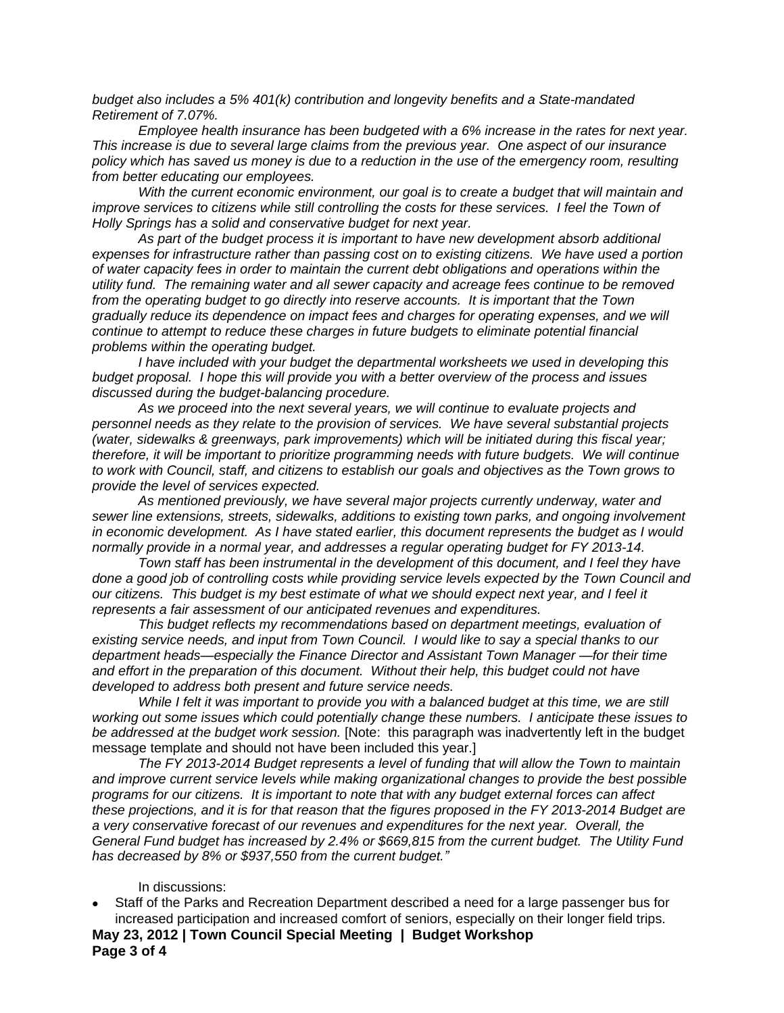*budget also includes a 5% 401(k) contribution and longevity benefits and a State-mandated Retirement of 7.07%.* 

*Employee health insurance has been budgeted with a 6% increase in the rates for next year. This increase is due to several large claims from the previous year. One aspect of our insurance policy which has saved us money is due to a reduction in the use of the emergency room, resulting from better educating our employees.* 

*With the current economic environment, our goal is to create a budget that will maintain and improve services to citizens while still controlling the costs for these services. I feel the Town of Holly Springs has a solid and conservative budget for next year.*

*As part of the budget process it is important to have new development absorb additional expenses for infrastructure rather than passing cost on to existing citizens. We have used a portion of water capacity fees in order to maintain the current debt obligations and operations within the utility fund. The remaining water and all sewer capacity and acreage fees continue to be removed from the operating budget to go directly into reserve accounts. It is important that the Town gradually reduce its dependence on impact fees and charges for operating expenses, and we will continue to attempt to reduce these charges in future budgets to eliminate potential financial problems within the operating budget.*

*I have included with your budget the departmental worksheets we used in developing this budget proposal. I hope this will provide you with a better overview of the process and issues discussed during the budget-balancing procedure.*

*As we proceed into the next several years, we will continue to evaluate projects and personnel needs as they relate to the provision of services. We have several substantial projects (water, sidewalks & greenways, park improvements) which will be initiated during this fiscal year; therefore, it will be important to prioritize programming needs with future budgets. We will continue to work with Council, staff, and citizens to establish our goals and objectives as the Town grows to provide the level of services expected.*

*As mentioned previously, we have several major projects currently underway, water and sewer line extensions, streets, sidewalks, additions to existing town parks, and ongoing involvement in economic development. As I have stated earlier, this document represents the budget as I would normally provide in a normal year, and addresses a regular operating budget for FY 2013-14.*

*Town staff has been instrumental in the development of this document, and I feel they have done a good job of controlling costs while providing service levels expected by the Town Council and our citizens. This budget is my best estimate of what we should expect next year, and I feel it represents a fair assessment of our anticipated revenues and expenditures.*

*This budget reflects my recommendations based on department meetings, evaluation of existing service needs, and input from Town Council. I would like to say a special thanks to our department heads—especially the Finance Director and Assistant Town Manager —for their time and effort in the preparation of this document. Without their help, this budget could not have developed to address both present and future service needs.*

*While I felt it was important to provide you with a balanced budget at this time, we are still working out some issues which could potentially change these numbers. I anticipate these issues to be addressed at the budget work session.* [Note: this paragraph was inadvertently left in the budget message template and should not have been included this year.]

*The FY 2013-2014 Budget represents a level of funding that will allow the Town to maintain and improve current service levels while making organizational changes to provide the best possible programs for our citizens. It is important to note that with any budget external forces can affect these projections, and it is for that reason that the figures proposed in the FY 2013-2014 Budget are a very conservative forecast of our revenues and expenditures for the next year. Overall, the General Fund budget has increased by 2.4% or \$669,815 from the current budget. The Utility Fund has decreased by 8% or \$937,550 from the current budget."*

#### In discussions:

 Staff of the Parks and Recreation Department described a need for a large passenger bus for increased participation and increased comfort of seniors, especially on their longer field trips.

**May 23, 2012 | Town Council Special Meeting | Budget Workshop Page 3 of 4**